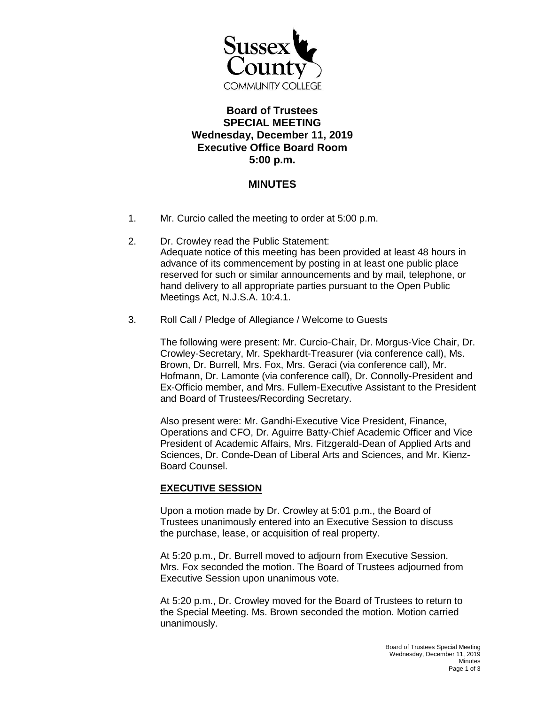

## **Board of Trustees SPECIAL MEETING Wednesday, December 11, 2019 Executive Office Board Room 5:00 p.m.**

## **MINUTES**

- 1. Mr. Curcio called the meeting to order at 5:00 p.m.
- 2. Dr. Crowley read the Public Statement: Adequate notice of this meeting has been provided at least 48 hours in advance of its commencement by posting in at least one public place reserved for such or similar announcements and by mail, telephone, or hand delivery to all appropriate parties pursuant to the Open Public Meetings Act, N.J.S.A. 10:4.1.
- 3. Roll Call / Pledge of Allegiance / Welcome to Guests

The following were present: Mr. Curcio-Chair, Dr. Morgus-Vice Chair, Dr. Crowley-Secretary, Mr. Spekhardt-Treasurer (via conference call), Ms. Brown, Dr. Burrell, Mrs. Fox, Mrs. Geraci (via conference call), Mr. Hofmann, Dr. Lamonte (via conference call), Dr. Connolly-President and Ex-Officio member, and Mrs. Fullem-Executive Assistant to the President and Board of Trustees/Recording Secretary.

Also present were: Mr. Gandhi-Executive Vice President, Finance, Operations and CFO, Dr. Aguirre Batty-Chief Academic Officer and Vice President of Academic Affairs, Mrs. Fitzgerald-Dean of Applied Arts and Sciences, Dr. Conde-Dean of Liberal Arts and Sciences, and Mr. Kienz-Board Counsel.

## **EXECUTIVE SESSION**

Upon a motion made by Dr. Crowley at 5:01 p.m., the Board of Trustees unanimously entered into an Executive Session to discuss the purchase, lease, or acquisition of real property.

At 5:20 p.m., Dr. Burrell moved to adjourn from Executive Session. Mrs. Fox seconded the motion. The Board of Trustees adjourned from Executive Session upon unanimous vote.

At 5:20 p.m., Dr. Crowley moved for the Board of Trustees to return to the Special Meeting. Ms. Brown seconded the motion. Motion carried unanimously.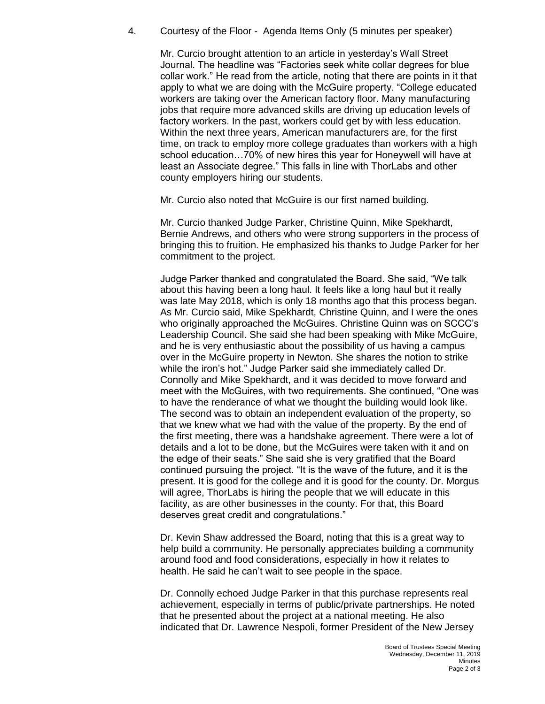4. Courtesy of the Floor - Agenda Items Only (5 minutes per speaker)

Mr. Curcio brought attention to an article in yesterday's Wall Street Journal. The headline was "Factories seek white collar degrees for blue collar work." He read from the article, noting that there are points in it that apply to what we are doing with the McGuire property. "College educated workers are taking over the American factory floor. Many manufacturing jobs that require more advanced skills are driving up education levels of factory workers. In the past, workers could get by with less education. Within the next three years, American manufacturers are, for the first time, on track to employ more college graduates than workers with a high school education…70% of new hires this year for Honeywell will have at least an Associate degree." This falls in line with ThorLabs and other county employers hiring our students.

Mr. Curcio also noted that McGuire is our first named building.

Mr. Curcio thanked Judge Parker, Christine Quinn, Mike Spekhardt, Bernie Andrews, and others who were strong supporters in the process of bringing this to fruition. He emphasized his thanks to Judge Parker for her commitment to the project.

Judge Parker thanked and congratulated the Board. She said, "We talk about this having been a long haul. It feels like a long haul but it really was late May 2018, which is only 18 months ago that this process began. As Mr. Curcio said, Mike Spekhardt, Christine Quinn, and I were the ones who originally approached the McGuires. Christine Quinn was on SCCC's Leadership Council. She said she had been speaking with Mike McGuire, and he is very enthusiastic about the possibility of us having a campus over in the McGuire property in Newton. She shares the notion to strike while the iron's hot." Judge Parker said she immediately called Dr. Connolly and Mike Spekhardt, and it was decided to move forward and meet with the McGuires, with two requirements. She continued, "One was to have the renderance of what we thought the building would look like. The second was to obtain an independent evaluation of the property, so that we knew what we had with the value of the property. By the end of the first meeting, there was a handshake agreement. There were a lot of details and a lot to be done, but the McGuires were taken with it and on the edge of their seats." She said she is very gratified that the Board continued pursuing the project. "It is the wave of the future, and it is the present. It is good for the college and it is good for the county. Dr. Morgus will agree, ThorLabs is hiring the people that we will educate in this facility, as are other businesses in the county. For that, this Board deserves great credit and congratulations."

Dr. Kevin Shaw addressed the Board, noting that this is a great way to help build a community. He personally appreciates building a community around food and food considerations, especially in how it relates to health. He said he can't wait to see people in the space.

Dr. Connolly echoed Judge Parker in that this purchase represents real achievement, especially in terms of public/private partnerships. He noted that he presented about the project at a national meeting. He also indicated that Dr. Lawrence Nespoli, former President of the New Jersey